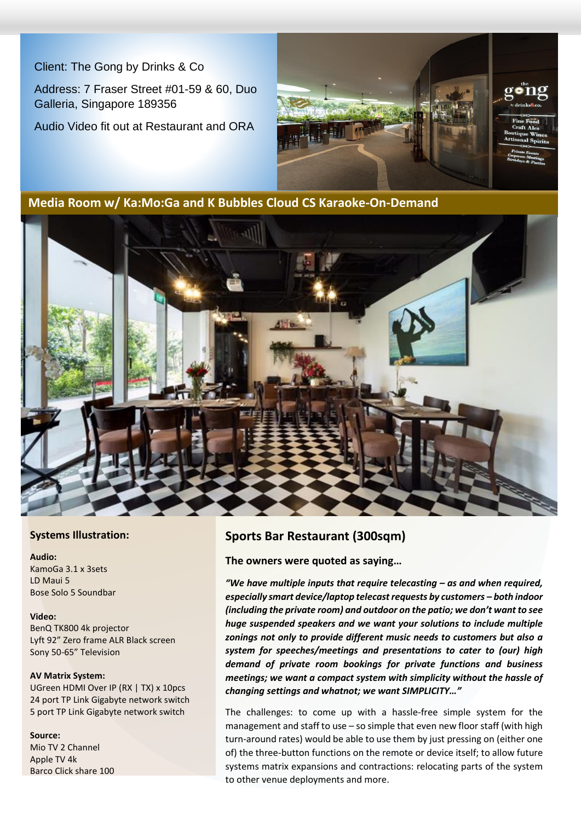Client: The Gong by Drinks & Co

Address: 7 Fraser Street #01-59 & 60, Duo Galleria, Singapore 189356

Audio Video fit out at Restaurant and ORA



**Media Room w/ Ka:Mo:Ga and K Bubbles Cloud CS Karaoke-On-Demand**



### **Systems Illustration:**

**Audio:** KamoGa 3.1 x 3sets LD Maui 5 Bose Solo 5 Soundbar

### **Video:**

BenQ TK800 4k projector Lyft 92" Zero frame ALR Black screen Sony 50-65" Television

#### **AV Matrix System:**

UGreen HDMI Over IP (RX | TX) x 10pcs 24 port TP Link Gigabyte network switch 5 port TP Link Gigabyte network switch

#### **Source:**

Mio TV 2 Channel Apple TV 4k Barco Click share 100

### **Sports Bar Restaurant (300sqm)**

### **The owners were quoted as saying…**

*"We have multiple inputs that require telecasting – as and when required, especially smart device/laptop telecast requests by customers – both indoor (including the private room) and outdoor on the patio; we don't want to see huge suspended speakers and we want your solutions to include multiple zonings not only to provide different music needs to customers but also a system for speeches/meetings and presentations to cater to (our) high demand of private room bookings for private functions and business meetings; we want a compact system with simplicity without the hassle of changing settings and whatnot; we want SIMPLICITY…"*

The challenges: to come up with a hassle-free simple system for the management and staff to use – so simple that even new floor staff (with high turn-around rates) would be able to use them by just pressing on (either one of) the three-button functions on the remote or device itself; to allow future systems matrix expansions and contractions: relocating parts of the system to other venue deployments and more.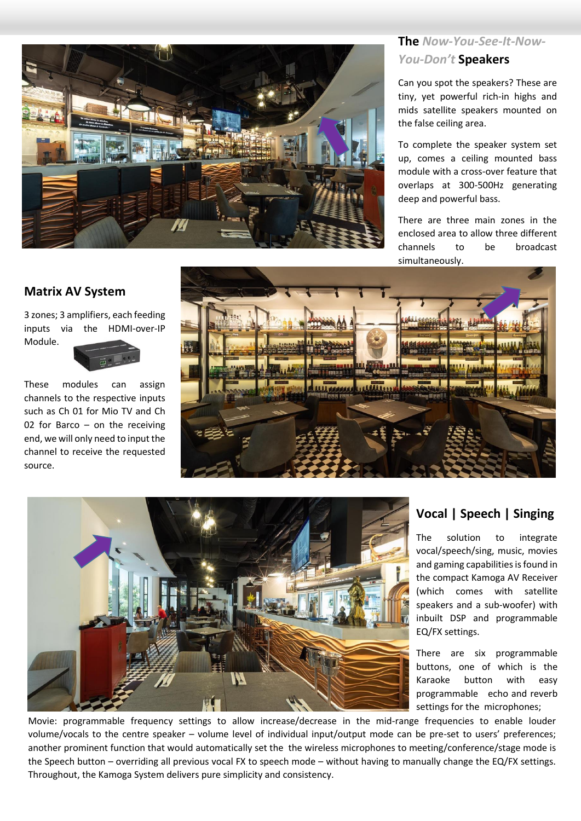### **The** *Now-You-See-It-Now-You-Don't* **Speakers**

Can you spot the speakers? These are tiny, yet powerful rich-in highs and mids satellite speakers mounted on the false ceiling area.

To complete the speaker system set up, comes a ceiling mounted bass module with a cross-over feature that overlaps at 300-500Hz generating deep and powerful bass.

There are three main zones in the enclosed area to allow three different channels to be broadcast







### **Vocal | Speech | Singing**

The solution to integrate vocal/speech/sing, music, movies and gaming capabilities is found in the compact Kamoga AV Receiver (which comes with satellite speakers and a sub-woofer) with inbuilt DSP and programmable EQ/FX settings.

There are six programmable buttons, one of which is the Karaoke button with easy programmable echo and reverb settings for the microphones;

Movie: programmable frequency settings to allow increase/decrease in the mid-range frequencies to enable louder volume/vocals to the centre speaker – volume level of individual input/output mode can be pre-set to users' preferences; another prominent function that would automatically set the the wireless microphones to meeting/conference/stage mode is the Speech button – overriding all previous vocal FX to speech mode – without having to manually change the EQ/FX settings. Throughout, the Kamoga System delivers pure simplicity and consistency.

### **Matrix AV System**

3 zones; 3 amplifiers, each feeding inputs via the HDMI-over-IP Module.

channels to the respective inputs such as Ch 01 for Mio TV and Ch 02 for Barco – on the receiving end, we will only need to input the channel to receive the requested source.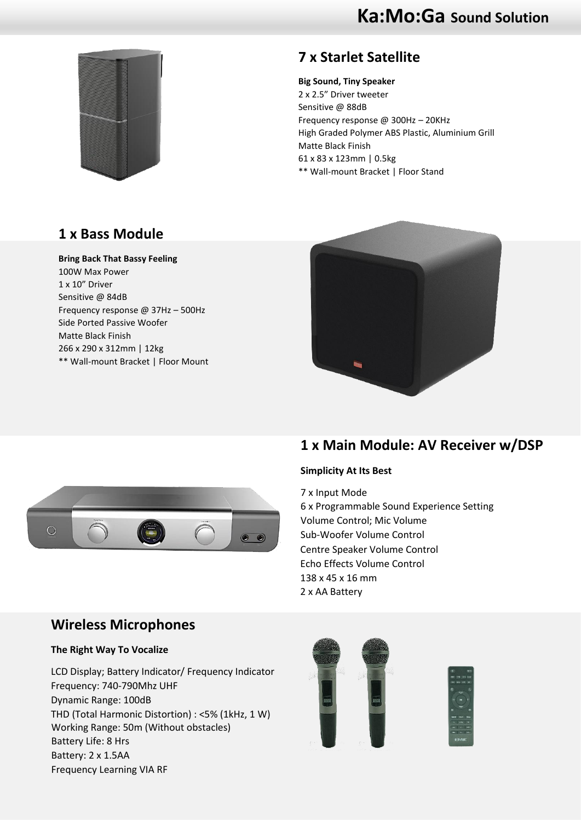

# **7 x Starlet Satellite**

**Big Sound, Tiny Speaker** 2 x 2.5" Driver tweeter Sensitive @ 88dB Frequency response @ 300Hz – 20KHz High Graded Polymer ABS Plastic, Aluminium Grill Matte Black Finish 61 x 83 x 123mm | 0.5kg \*\* Wall-mount Bracket | Floor Stand

# **1 x Bass Module**

### **Bring Back That Bassy Feeling**

100W Max Power 1 x 10" Driver Sensitive @ 84dB Frequency response @ 37Hz – 500Hz Side Ported Passive Woofer Matte Black Finish 266 x 290 x 312mm | 12kg \*\* Wall-mount Bracket | Floor Mount





#### **Simplicity At Its Best**

7 x Input Mode 6 x Programmable Sound Experience Setting Volume Control; Mic Volume Sub-Woofer Volume Control Centre Speaker Volume Control Echo Effects Volume Control 138 x 45 x 16 mm 2 x AA Battery



## **Wireless Microphones**

### **The Right Way To Vocalize**

LCD Display; Battery Indicator/ Frequency Indicator Frequency: 740-790Mhz UHF Dynamic Range: 100dB THD (Total Harmonic Distortion) : <5% (1kHz, 1 W) Working Range: 50m (Without obstacles) Battery Life: 8 Hrs Battery: 2 x 1.5AA Frequency Learning VIA RF